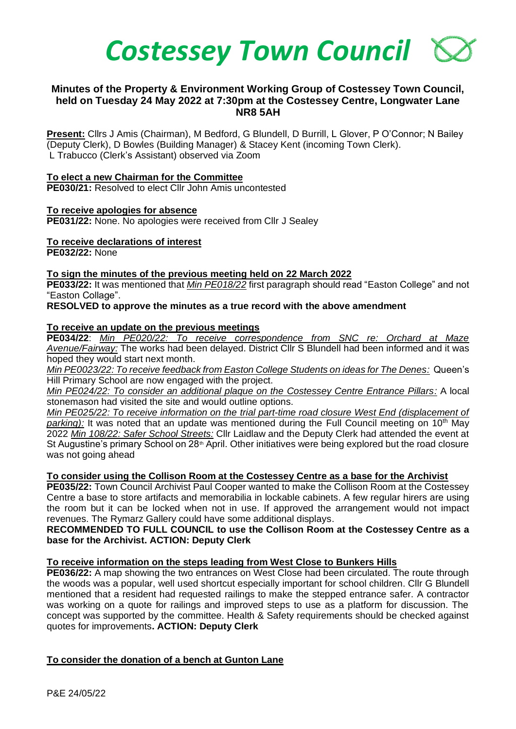

# **Minutes of the Property & Environment Working Group of Costessey Town Council, held on Tuesday 24 May 2022 at 7:30pm at the Costessey Centre, Longwater Lane NR8 5AH**

**Present:** Cllrs J Amis (Chairman), M Bedford, G Blundell, D Burrill, L Glover, P O'Connor; N Bailey (Deputy Clerk), D Bowles (Building Manager) & Stacey Kent (incoming Town Clerk). L Trabucco (Clerk's Assistant) observed via Zoom

#### **To elect a new Chairman for the Committee**

**PE030/21:** Resolved to elect Cllr John Amis uncontested

## **To receive apologies for absence**

**PE031/22:** None. No apologies were received from Cllr J Sealey

## **To receive declarations of interest**

**PE032/22:** None

## **To sign the minutes of the previous meeting held on 22 March 2022**

**PE033/22:** It was mentioned that *Min PE018/22* first paragraph should read "Easton College" and not "Easton Collage".

## **RESOLVED to approve the minutes as a true record with the above amendment**

## **To receive an update on the previous meetings**

**PE034/22**: *Min PE020/22: To receive correspondence from SNC re: Orchard at Maze Avenue/Fairway:* The works had been delayed. District Cllr S Blundell had been informed and it was hoped they would start next month.

*Min PE0023/22: To receive feedback from Easton College Students on ideas for The Denes:* Queen's Hill Primary School are now engaged with the project.

*Min PE024/22: To consider an additional plaque on the Costessey Centre Entrance Pillars:* A local stonemason had visited the site and would outline options.

*Min PE025/22: To receive information on the trial part-time road closure West End (displacement of*  **parking):** It was noted that an update was mentioned during the Full Council meeting on 10<sup>th</sup> May 2022 *Min 108/22: Safer School Streets:* Cllr Laidlaw and the Deputy Clerk had attended the event at St Augustine's primary School on 28<sup>th</sup> April. Other initiatives were being explored but the road closure was not going ahead

# **To consider using the Collison Room at the Costessey Centre as a base for the Archivist**

**PE035/22:** Town Council Archivist Paul Cooper wanted to make the Collison Room at the Costessey Centre a base to store artifacts and memorabilia in lockable cabinets. A few regular hirers are using the room but it can be locked when not in use. If approved the arrangement would not impact revenues. The Rymarz Gallery could have some additional displays.

## **RECOMMENDED TO FULL COUNCIL to use the Collison Room at the Costessey Centre as a base for the Archivist. ACTION: Deputy Clerk**

# **To receive information on the steps leading from West Close to Bunkers Hills**

**PE036/22:** A map showing the two entrances on West Close had been circulated. The route through the woods was a popular, well used shortcut especially important for school children. Cllr G Blundell mentioned that a resident had requested railings to make the stepped entrance safer. A contractor was working on a quote for railings and improved steps to use as a platform for discussion. The concept was supported by the committee. Health & Safety requirements should be checked against quotes for improvements**. ACTION: Deputy Clerk**

# **To consider the donation of a bench at Gunton Lane**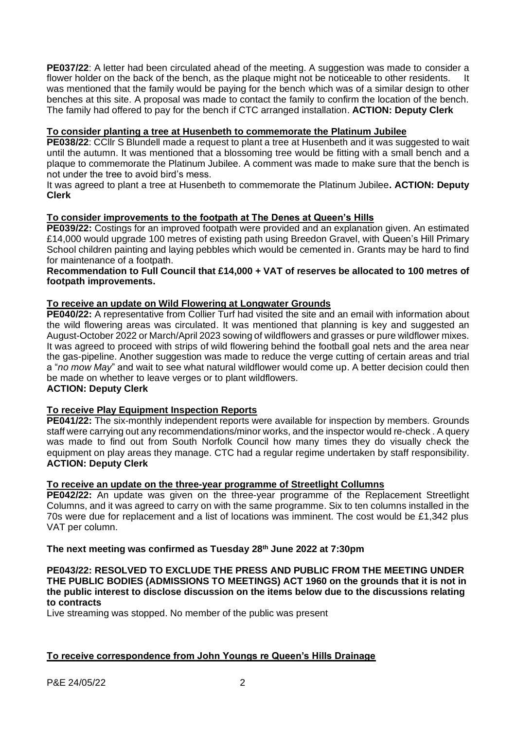**PE037/22**: A letter had been circulated ahead of the meeting. A suggestion was made to consider a flower holder on the back of the bench, as the plaque might not be noticeable to other residents. It was mentioned that the family would be paying for the bench which was of a similar design to other benches at this site. A proposal was made to contact the family to confirm the location of the bench. The family had offered to pay for the bench if CTC arranged installation. **ACTION: Deputy Clerk**

# **To consider planting a tree at Husenbeth to commemorate the Platinum Jubilee**

**PE038/22**: CCllr S Blundell made a request to plant a tree at Husenbeth and it was suggested to wait until the autumn. It was mentioned that a blossoming tree would be fitting with a small bench and a plaque to commemorate the Platinum Jubilee. A comment was made to make sure that the bench is not under the tree to avoid bird's mess.

It was agreed to plant a tree at Husenbeth to commemorate the Platinum Jubilee**. ACTION: Deputy Clerk**

# **To consider improvements to the footpath at The Denes at Queen's Hills**

**PE039/22:** Costings for an improved footpath were provided and an explanation given. An estimated £14,000 would upgrade 100 metres of existing path using Breedon Gravel, with Queen's Hill Primary School children painting and laying pebbles which would be cemented in. Grants may be hard to find for maintenance of a footpath.

## **Recommendation to Full Council that £14,000 + VAT of reserves be allocated to 100 metres of footpath improvements.**

# **To receive an update on Wild Flowering at Longwater Grounds**

**PE040/22:** A representative from Collier Turf had visited the site and an email with information about the wild flowering areas was circulated. It was mentioned that planning is key and suggested an August-October 2022 or March/April 2023 sowing of wildflowers and grasses or pure wildflower mixes. It was agreed to proceed with strips of wild flowering behind the football goal nets and the area near the gas-pipeline. Another suggestion was made to reduce the verge cutting of certain areas and trial a "*no mow May*" and wait to see what natural wildflower would come up. A better decision could then be made on whether to leave verges or to plant wildflowers.

# **ACTION: Deputy Clerk**

# **To receive Play Equipment Inspection Reports**

**PE041/22:** The six-monthly independent reports were available for inspection by members. Grounds staff were carrying out any recommendations/minor works, and the inspector would re-check . A query was made to find out from South Norfolk Council how many times they do visually check the equipment on play areas they manage. CTC had a regular regime undertaken by staff responsibility. **ACTION: Deputy Clerk**

# **To receive an update on the three-year programme of Streetlight Collumns**

**PE042/22:** An update was given on the three-year programme of the Replacement Streetlight Columns, and it was agreed to carry on with the same programme. Six to ten columns installed in the 70s were due for replacement and a list of locations was imminent. The cost would be £1,342 plus VAT per column.

# **The next meeting was confirmed as Tuesday 28th June 2022 at 7:30pm**

## **PE043/22: RESOLVED TO EXCLUDE THE PRESS AND PUBLIC FROM THE MEETING UNDER THE PUBLIC BODIES (ADMISSIONS TO MEETINGS) ACT 1960 on the grounds that it is not in the public interest to disclose discussion on the items below due to the discussions relating to contracts**

Live streaming was stopped. No member of the public was present

# **To receive correspondence from John Youngs re Queen's Hills Drainage**